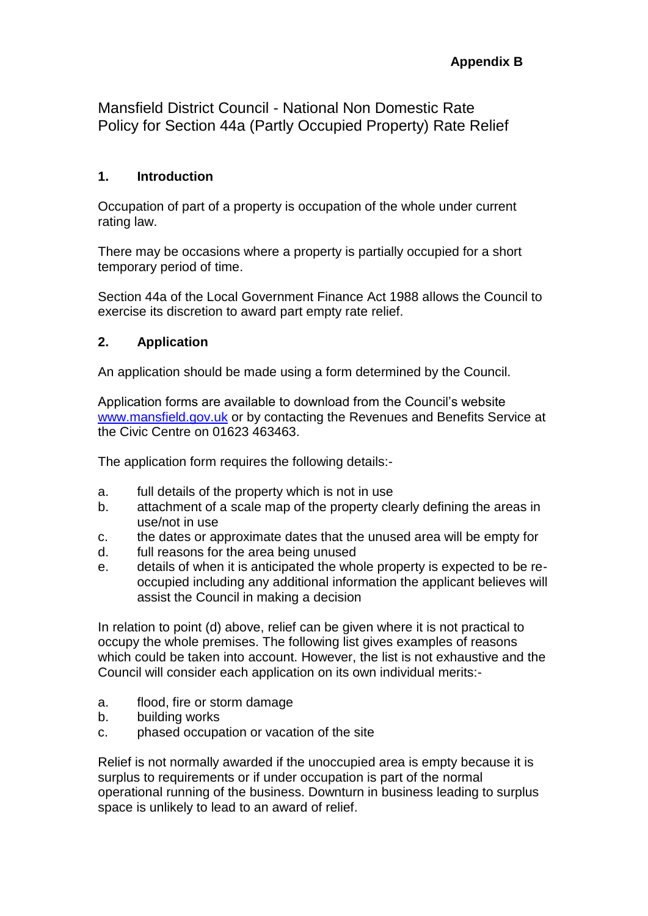Mansfield District Council - National Non Domestic Rate Policy for Section 44a (Partly Occupied Property) Rate Relief

### **1. Introduction**

Occupation of part of a property is occupation of the whole under current rating law.

There may be occasions where a property is partially occupied for a short temporary period of time.

Section 44a of the Local Government Finance Act 1988 allows the Council to exercise its discretion to award part empty rate relief.

## **2. Application**

An application should be made using a form determined by the Council.

Application forms are available to download from the Council's website [www.mansfield.gov.uk](http://www.mansfield.gov.uk/) or by contacting the Revenues and Benefits Service at the Civic Centre on 01623 463463.

The application form requires the following details:-

- a. full details of the property which is not in use
- b. attachment of a scale map of the property clearly defining the areas in use/not in use
- c. the dates or approximate dates that the unused area will be empty for
- d. full reasons for the area being unused
- e. details of when it is anticipated the whole property is expected to be reoccupied including any additional information the applicant believes will assist the Council in making a decision

In relation to point (d) above, relief can be given where it is not practical to occupy the whole premises. The following list gives examples of reasons which could be taken into account. However, the list is not exhaustive and the Council will consider each application on its own individual merits:-

- a. flood, fire or storm damage
- b. building works
- c. phased occupation or vacation of the site

Relief is not normally awarded if the unoccupied area is empty because it is surplus to requirements or if under occupation is part of the normal operational running of the business. Downturn in business leading to surplus space is unlikely to lead to an award of relief.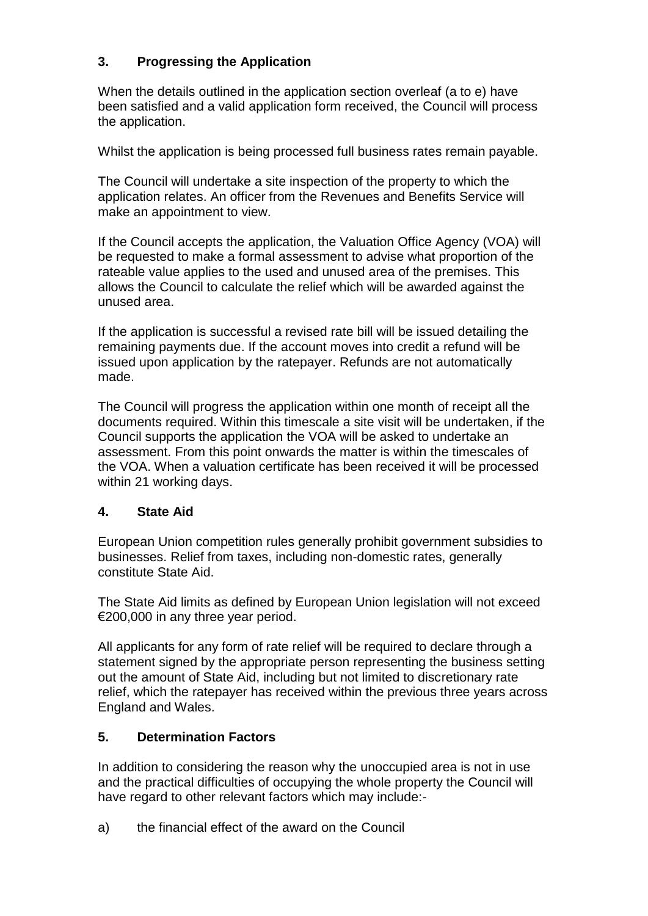# **3. Progressing the Application**

When the details outlined in the application section overleaf (a to e) have been satisfied and a valid application form received, the Council will process the application.

Whilst the application is being processed full business rates remain payable.

The Council will undertake a site inspection of the property to which the application relates. An officer from the Revenues and Benefits Service will make an appointment to view.

If the Council accepts the application, the Valuation Office Agency (VOA) will be requested to make a formal assessment to advise what proportion of the rateable value applies to the used and unused area of the premises. This allows the Council to calculate the relief which will be awarded against the unused area.

If the application is successful a revised rate bill will be issued detailing the remaining payments due. If the account moves into credit a refund will be issued upon application by the ratepayer. Refunds are not automatically made.

The Council will progress the application within one month of receipt all the documents required. Within this timescale a site visit will be undertaken, if the Council supports the application the VOA will be asked to undertake an assessment. From this point onwards the matter is within the timescales of the VOA. When a valuation certificate has been received it will be processed within 21 working days.

#### **4. State Aid**

European Union competition rules generally prohibit government subsidies to businesses. Relief from taxes, including non-domestic rates, generally constitute State Aid.

The State Aid limits as defined by European Union legislation will not exceed €200,000 in any three year period.

All applicants for any form of rate relief will be required to declare through a statement signed by the appropriate person representing the business setting out the amount of State Aid, including but not limited to discretionary rate relief, which the ratepayer has received within the previous three years across England and Wales.

#### **5. Determination Factors**

In addition to considering the reason why the unoccupied area is not in use and the practical difficulties of occupying the whole property the Council will have regard to other relevant factors which may include:-

a) the financial effect of the award on the Council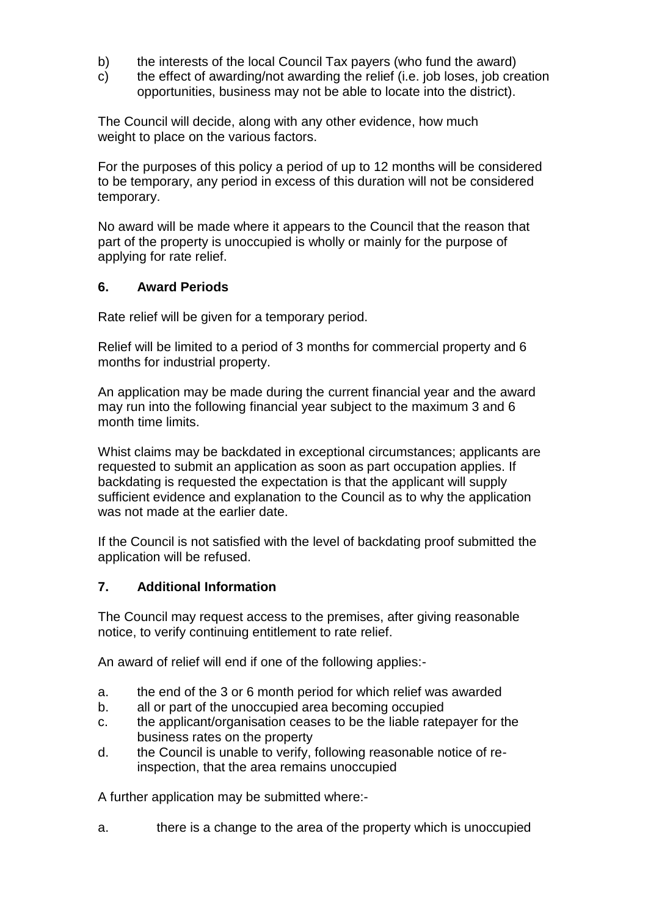- b) the interests of the local Council Tax payers (who fund the award)
- c) the effect of awarding/not awarding the relief (i.e. job loses, job creation opportunities, business may not be able to locate into the district).

The Council will decide, along with any other evidence, how much weight to place on the various factors.

For the purposes of this policy a period of up to 12 months will be considered to be temporary, any period in excess of this duration will not be considered temporary.

No award will be made where it appears to the Council that the reason that part of the property is unoccupied is wholly or mainly for the purpose of applying for rate relief.

#### **6. Award Periods**

Rate relief will be given for a temporary period.

Relief will be limited to a period of 3 months for commercial property and 6 months for industrial property.

An application may be made during the current financial year and the award may run into the following financial year subject to the maximum 3 and 6 month time limits.

Whist claims may be backdated in exceptional circumstances; applicants are requested to submit an application as soon as part occupation applies. If backdating is requested the expectation is that the applicant will supply sufficient evidence and explanation to the Council as to why the application was not made at the earlier date.

If the Council is not satisfied with the level of backdating proof submitted the application will be refused.

#### **7. Additional Information**

The Council may request access to the premises, after giving reasonable notice, to verify continuing entitlement to rate relief.

An award of relief will end if one of the following applies:-

- a. the end of the 3 or 6 month period for which relief was awarded
- b. all or part of the unoccupied area becoming occupied
- c. the applicant/organisation ceases to be the liable ratepayer for the business rates on the property
- d. the Council is unable to verify, following reasonable notice of reinspection, that the area remains unoccupied

A further application may be submitted where:-

a. there is a change to the area of the property which is unoccupied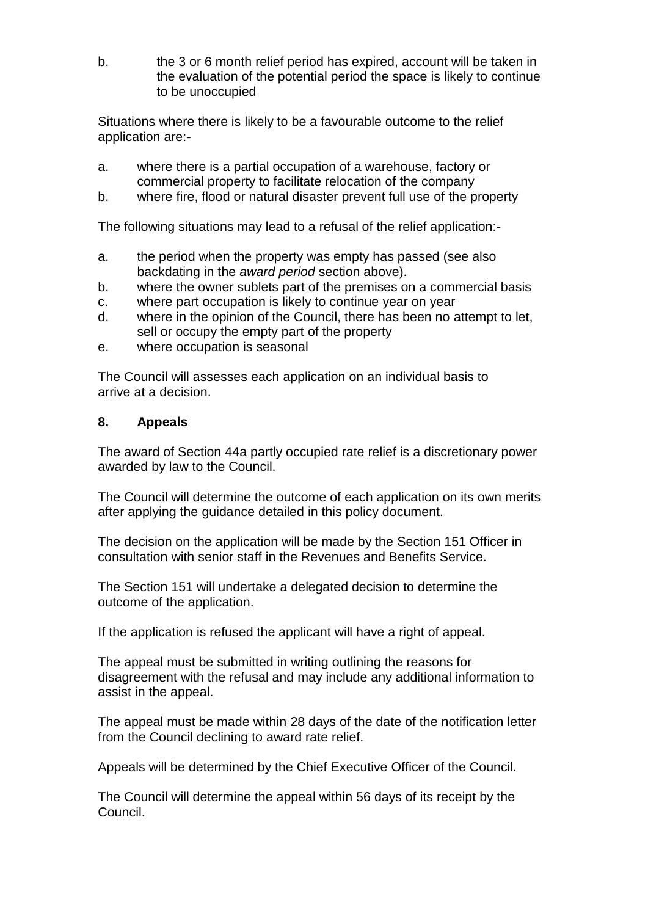b. the 3 or 6 month relief period has expired, account will be taken in the evaluation of the potential period the space is likely to continue to be unoccupied

Situations where there is likely to be a favourable outcome to the relief application are:-

- a. where there is a partial occupation of a warehouse, factory or commercial property to facilitate relocation of the company
- b. where fire, flood or natural disaster prevent full use of the property

The following situations may lead to a refusal of the relief application:-

- a. the period when the property was empty has passed (see also backdating in the *award period* section above).
- b. where the owner sublets part of the premises on a commercial basis
- c. where part occupation is likely to continue year on year
- d. where in the opinion of the Council, there has been no attempt to let, sell or occupy the empty part of the property
- e. where occupation is seasonal

The Council will assesses each application on an individual basis to arrive at a decision.

#### **8. Appeals**

The award of Section 44a partly occupied rate relief is a discretionary power awarded by law to the Council.

The Council will determine the outcome of each application on its own merits after applying the guidance detailed in this policy document.

The decision on the application will be made by the Section 151 Officer in consultation with senior staff in the Revenues and Benefits Service.

The Section 151 will undertake a delegated decision to determine the outcome of the application.

If the application is refused the applicant will have a right of appeal.

The appeal must be submitted in writing outlining the reasons for disagreement with the refusal and may include any additional information to assist in the appeal.

The appeal must be made within 28 days of the date of the notification letter from the Council declining to award rate relief.

Appeals will be determined by the Chief Executive Officer of the Council.

The Council will determine the appeal within 56 days of its receipt by the Council.